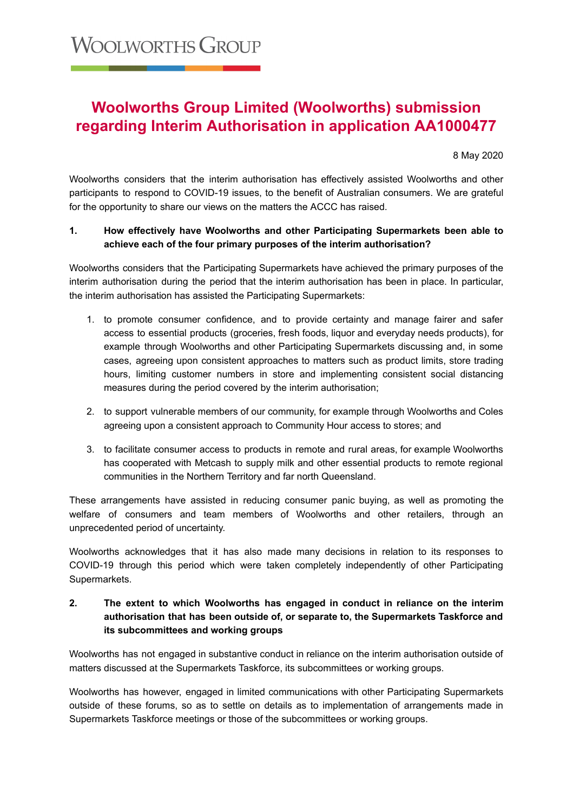# **Woolworths Group Limited (Woolworths) submission regarding Interim Authorisation in application AA1000477**

8 May 2020

Woolworths considers that the interim authorisation has effectively assisted Woolworths and other participants to respond to COVID-19 issues, to the benefit of Australian consumers. We are grateful for the opportunity to share our views on the matters the ACCC has raised.

### **1. How effectively have Woolworths and other Participating Supermarkets been able to achieve each of the four primary purposes of the interim authorisation?**

Woolworths considers that the Participating Supermarkets have achieved the primary purposes of the interim authorisation during the period that the interim authorisation has been in place. In particular, the interim authorisation has assisted the Participating Supermarkets:

- 1. to promote consumer confidence, and to provide certainty and manage fairer and safer access to essential products (groceries, fresh foods, liquor and everyday needs products), for example through Woolworths and other Participating Supermarkets discussing and, in some cases, agreeing upon consistent approaches to matters such as product limits, store trading hours, limiting customer numbers in store and implementing consistent social distancing measures during the period covered by the interim authorisation;
- 2. to support vulnerable members of our community, for example through Woolworths and Coles agreeing upon a consistent approach to Community Hour access to stores; and
- 3. to facilitate consumer access to products in remote and rural areas, for example Woolworths has cooperated with Metcash to supply milk and other essential products to remote regional communities in the Northern Territory and far north Queensland.

These arrangements have assisted in reducing consumer panic buying, as well as promoting the welfare of consumers and team members of Woolworths and other retailers, through an unprecedented period of uncertainty.

Woolworths acknowledges that it has also made many decisions in relation to its responses to COVID-19 through this period which were taken completely independently of other Participating Supermarkets.

## **2. The extent to which Woolworths has engaged in conduct in reliance on the interim authorisation that has been outside of, or separate to, the Supermarkets Taskforce and its subcommittees and working groups**

Woolworths has not engaged in substantive conduct in reliance on the interim authorisation outside of matters discussed at the Supermarkets Taskforce, its subcommittees or working groups.

Woolworths has however, engaged in limited communications with other Participating Supermarkets outside of these forums, so as to settle on details as to implementation of arrangements made in Supermarkets Taskforce meetings or those of the subcommittees or working groups.